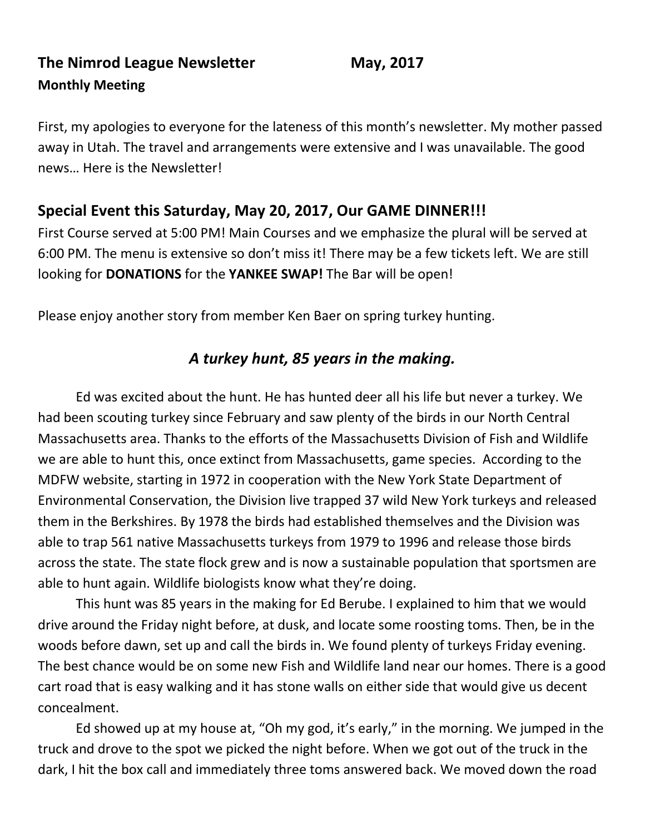# **The Nimrod League Newsletter May, 2017 Monthly Meeting**

First, my apologies to everyone for the lateness of this month's newsletter. My mother passed away in Utah. The travel and arrangements were extensive and I was unavailable. The good news… Here is the Newsletter!

# **Special Event this Saturday, May 20, 2017, Our GAME DINNER!!!**

First Course served at 5:00 PM! Main Courses and we emphasize the plural will be served at 6:00 PM. The menu is extensive so don't miss it! There may be a few tickets left. We are still looking for **DONATIONS** for the **YANKEE SWAP!** The Bar will be open!

Please enjoy another story from member Ken Baer on spring turkey hunting.

# *A turkey hunt, 85 years in the making.*

Ed was excited about the hunt. He has hunted deer all his life but never a turkey. We had been scouting turkey since February and saw plenty of the birds in our North Central Massachusetts area. Thanks to the efforts of the Massachusetts Division of Fish and Wildlife we are able to hunt this, once extinct from Massachusetts, game species. According to the MDFW website, starting in 1972 in cooperation with the New York State Department of Environmental Conservation, the Division live trapped 37 wild New York turkeys and released them in the Berkshires. By 1978 the birds had established themselves and the Division was able to trap 561 native Massachusetts turkeys from 1979 to 1996 and release those birds across the state. The state flock grew and is now a sustainable population that sportsmen are able to hunt again. Wildlife biologists know what they're doing.

This hunt was 85 years in the making for Ed Berube. I explained to him that we would drive around the Friday night before, at dusk, and locate some roosting toms. Then, be in the woods before dawn, set up and call the birds in. We found plenty of turkeys Friday evening. The best chance would be on some new Fish and Wildlife land near our homes. There is a good cart road that is easy walking and it has stone walls on either side that would give us decent concealment.

Ed showed up at my house at, "Oh my god, it's early," in the morning. We jumped in the truck and drove to the spot we picked the night before. When we got out of the truck in the dark, I hit the box call and immediately three toms answered back. We moved down the road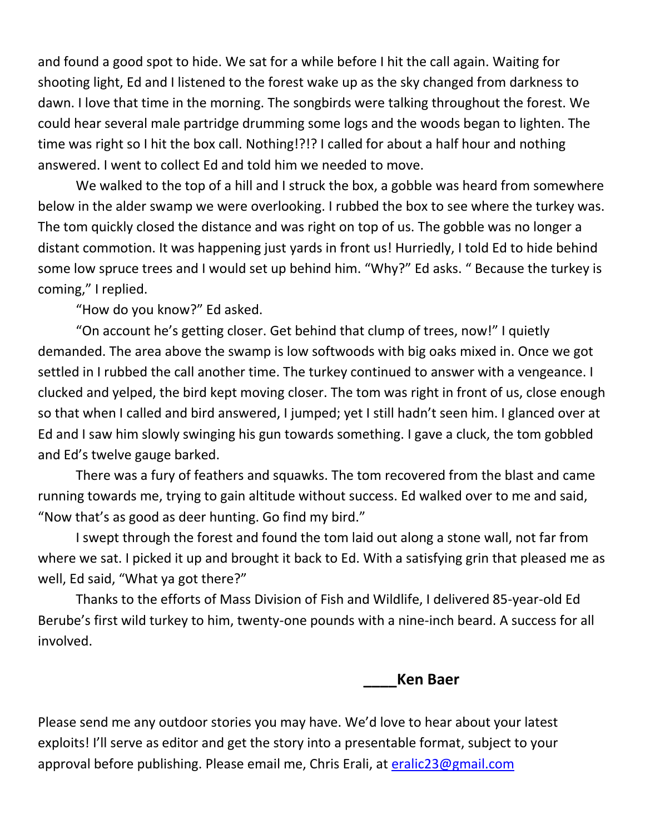and found a good spot to hide. We sat for a while before I hit the call again. Waiting for shooting light, Ed and I listened to the forest wake up as the sky changed from darkness to dawn. I love that time in the morning. The songbirds were talking throughout the forest. We could hear several male partridge drumming some logs and the woods began to lighten. The time was right so I hit the box call. Nothing!?!? I called for about a half hour and nothing answered. I went to collect Ed and told him we needed to move.

We walked to the top of a hill and I struck the box, a gobble was heard from somewhere below in the alder swamp we were overlooking. I rubbed the box to see where the turkey was. The tom quickly closed the distance and was right on top of us. The gobble was no longer a distant commotion. It was happening just yards in front us! Hurriedly, I told Ed to hide behind some low spruce trees and I would set up behind him. "Why?" Ed asks. " Because the turkey is coming," I replied.

"How do you know?" Ed asked.

"On account he's getting closer. Get behind that clump of trees, now!" I quietly demanded. The area above the swamp is low softwoods with big oaks mixed in. Once we got settled in I rubbed the call another time. The turkey continued to answer with a vengeance. I clucked and yelped, the bird kept moving closer. The tom was right in front of us, close enough so that when I called and bird answered, I jumped; yet I still hadn't seen him. I glanced over at Ed and I saw him slowly swinging his gun towards something. I gave a cluck, the tom gobbled and Ed's twelve gauge barked.

There was a fury of feathers and squawks. The tom recovered from the blast and came running towards me, trying to gain altitude without success. Ed walked over to me and said, "Now that's as good as deer hunting. Go find my bird."

I swept through the forest and found the tom laid out along a stone wall, not far from where we sat. I picked it up and brought it back to Ed. With a satisfying grin that pleased me as well, Ed said, "What ya got there?"

Thanks to the efforts of Mass Division of Fish and Wildlife, I delivered 85-year-old Ed Berube's first wild turkey to him, twenty-one pounds with a nine-inch beard. A success for all involved.

**\_\_\_\_Ken Baer**

Please send me any outdoor stories you may have. We'd love to hear about your latest exploits! I'll serve as editor and get the story into a presentable format, subject to your approval before publishing. Please email me, Chris Erali, at [eralic23@gmail.com](mailto:eralic23@gmail.com)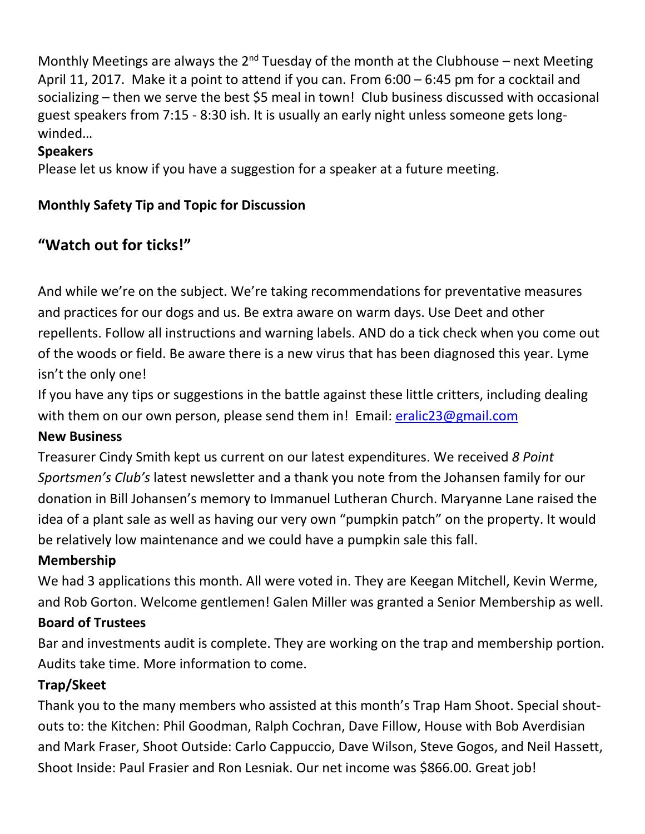Monthly Meetings are always the  $2^{nd}$  Tuesday of the month at the Clubhouse – next Meeting April 11, 2017. Make it a point to attend if you can. From 6:00 – 6:45 pm for a cocktail and socializing – then we serve the best \$5 meal in town! Club business discussed with occasional guest speakers from 7:15 - 8:30 ish. It is usually an early night unless someone gets longwinded…

#### **Speakers**

Please let us know if you have a suggestion for a speaker at a future meeting.

## **Monthly Safety Tip and Topic for Discussion**

# **"Watch out for ticks!"**

And while we're on the subject. We're taking recommendations for preventative measures and practices for our dogs and us. Be extra aware on warm days. Use Deet and other repellents. Follow all instructions and warning labels. AND do a tick check when you come out of the woods or field. Be aware there is a new virus that has been diagnosed this year. Lyme isn't the only one!

If you have any tips or suggestions in the battle against these little critters, including dealing with them on our own person, please send them in! Email: [eralic23@gmail.com](mailto:eralic23@gmail.com)

## **New Business**

Treasurer Cindy Smith kept us current on our latest expenditures. We received *8 Point Sportsmen's Club's* latest newsletter and a thank you note from the Johansen family for our donation in Bill Johansen's memory to Immanuel Lutheran Church. Maryanne Lane raised the idea of a plant sale as well as having our very own "pumpkin patch" on the property. It would be relatively low maintenance and we could have a pumpkin sale this fall.

## **Membership**

We had 3 applications this month. All were voted in. They are Keegan Mitchell, Kevin Werme, and Rob Gorton. Welcome gentlemen! Galen Miller was granted a Senior Membership as well.

## **Board of Trustees**

Bar and investments audit is complete. They are working on the trap and membership portion. Audits take time. More information to come.

## **Trap/Skeet**

Thank you to the many members who assisted at this month's Trap Ham Shoot. Special shoutouts to: the Kitchen: Phil Goodman, Ralph Cochran, Dave Fillow, House with Bob Averdisian and Mark Fraser, Shoot Outside: Carlo Cappuccio, Dave Wilson, Steve Gogos, and Neil Hassett, Shoot Inside: Paul Frasier and Ron Lesniak. Our net income was \$866.00. Great job!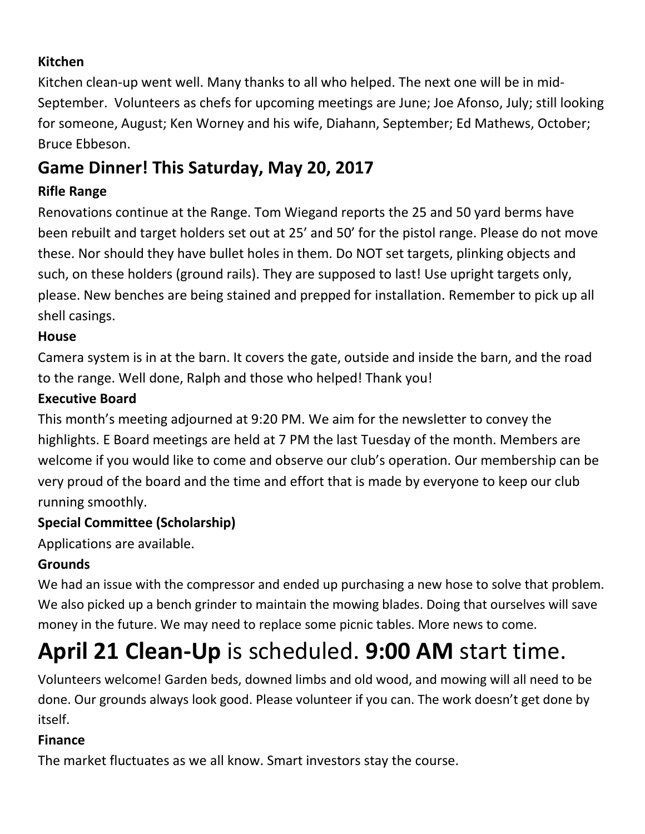## **Kitchen**

Kitchen clean-up went well. Many thanks to all who helped. The next one will be in mid-September. Volunteers as chefs for upcoming meetings are June; Joe Afonso, July; still looking for someone, August; Ken Worney and his wife, Diahann, September; Ed Mathews, October; Bruce Ebbeson.

# **Game Dinner! This Saturday, May 20, 2017**

## **Rifle Range**

Renovations continue at the Range. Tom Wiegand reports the 25 and 50 yard berms have been rebuilt and target holders set out at 25' and 50' for the pistol range. Please do not move these. Nor should they have bullet holes in them. Do NOT set targets, plinking objects and such, on these holders (ground rails). They are supposed to last! Use upright targets only, please. New benches are being stained and prepped for installation. Remember to pick up all shell casings.

## **House**

Camera system is in at the barn. It covers the gate, outside and inside the barn, and the road to the range. Well done, Ralph and those who helped! Thank you!

#### **Executive Board**

This month's meeting adjourned at 9:20 PM. We aim for the newsletter to convey the highlights. E Board meetings are held at 7 PM the last Tuesday of the month. Members are welcome if you would like to come and observe our club's operation. Our membership can be very proud of the board and the time and effort that is made by everyone to keep our club running smoothly.

## **Special Committee (Scholarship)**

Applications are available.

## **Grounds**

We had an issue with the compressor and ended up purchasing a new hose to solve that problem. We also picked up a bench grinder to maintain the mowing blades. Doing that ourselves will save money in the future. We may need to replace some picnic tables. More news to come.

# **April 21 Clean-Up** is scheduled. **9:00 AM** start time.

Volunteers welcome! Garden beds, downed limbs and old wood, and mowing will all need to be done. Our grounds always look good. Please volunteer if you can. The work doesn't get done by itself.

## **Finance**

The market fluctuates as we all know. Smart investors stay the course.